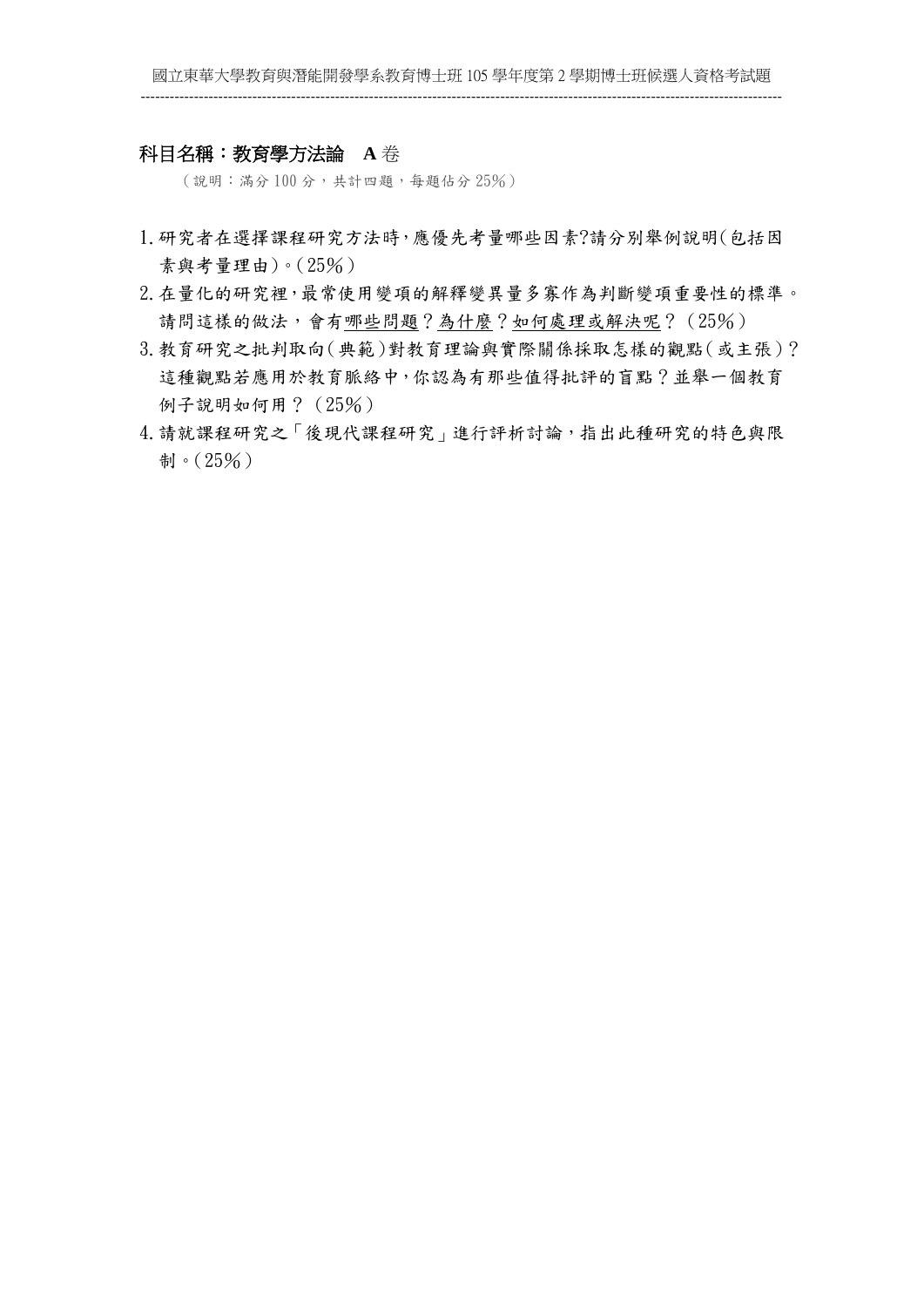### 科目名稱:教育學方法論 **A** 卷

(說明:滿分 100 分,共計四題,每題佔分 25%)

- 1.研究者在選擇課程研究方法時,應優先考量哪些因素?請分別舉例說明(包括因 素與考量理由)。(25%)
- 2.在量化的研究裡,最常使用變項的解釋變異量多寡作為判斷變項重要性的標準。 請問這樣的做法,會有哪些問題?為什麼?如何處理或解決呢?(25%)
- 3.教育研究之批判取向(典範)對教育理論與實際關係採取怎樣的觀點(或主張)? 這種觀點若應用於教育脈絡中,你認為有那些值得批評的盲點?並舉一個教育 例子說明如何用?(25%)
- 4.請就課程研究之「後現代課程研究」進行評析討論,指出此種研究的特色與限 制。(25%)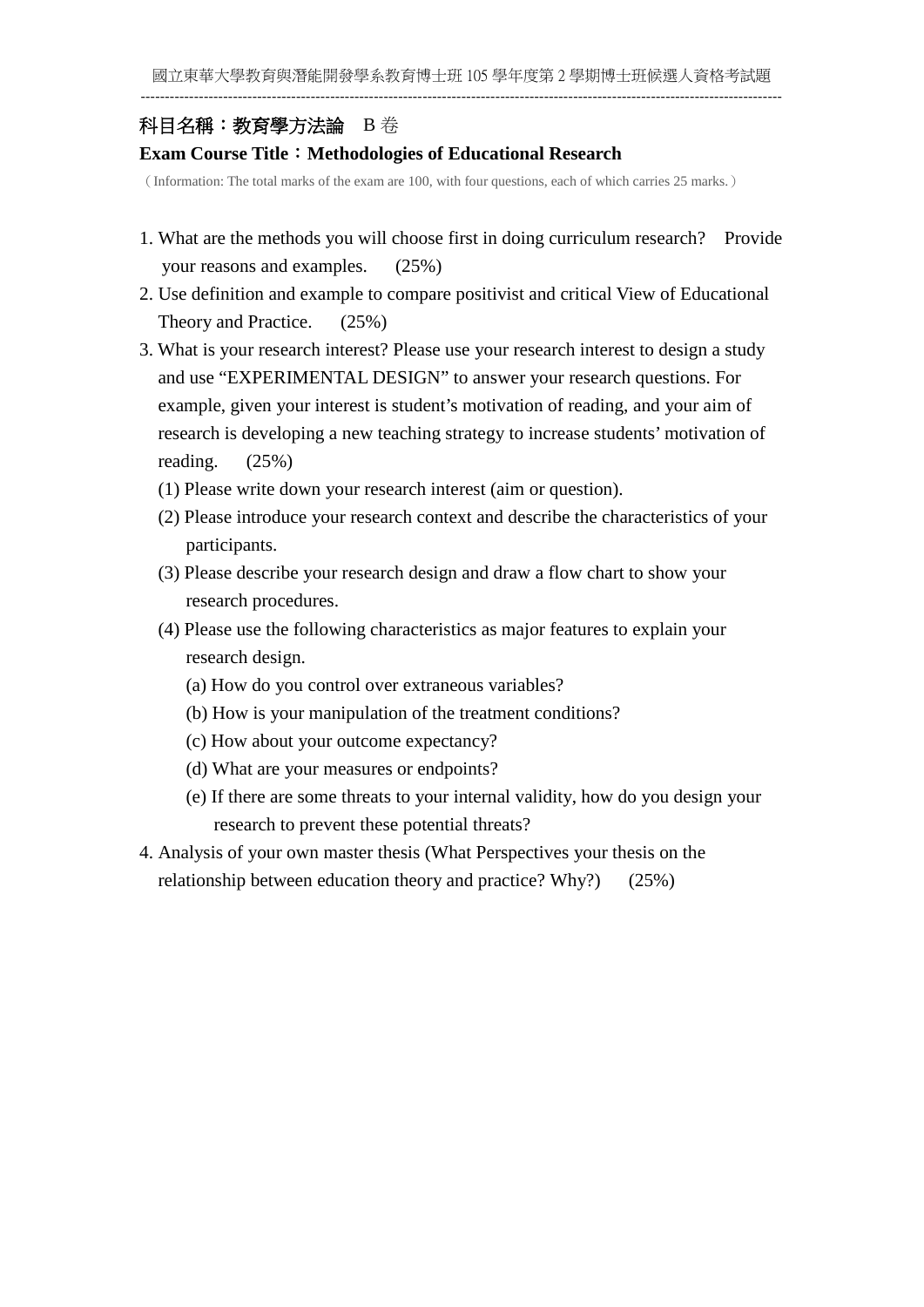## 科目名稱:教育學方法論B 卷

## **Exam Course Title**:**Methodologies of Educational Research**

(Information: The total marks of the exam are 100, with four questions, each of which carries 25 marks.)

- 1. What are the methods you will choose first in doing curriculum research? Provide your reasons and examples. (25%)
- 2. Use definition and example to compare positivist and critical View of Educational Theory and Practice. (25%)
- 3. What is your research interest? Please use your research interest to design a study and use "EXPERIMENTAL DESIGN" to answer your research questions. For example, given your interest is student's motivation of reading, and your aim of research is developing a new teaching strategy to increase students' motivation of reading. (25%)
	- (1) Please write down your research interest (aim or question).
	- (2) Please introduce your research context and describe the characteristics of your participants.
	- (3) Please describe your research design and draw a flow chart to show your research procedures.
	- (4) Please use the following characteristics as major features to explain your research design.
		- (a) How do you control over extraneous variables?
		- (b) How is your manipulation of the treatment conditions?
		- (c) How about your outcome expectancy?
		- (d) What are your measures or endpoints?
		- (e) If there are some threats to your internal validity, how do you design your research to prevent these potential threats?
- 4. Analysis of your own master thesis (What Perspectives your thesis on the relationship between education theory and practice? Why?) (25%)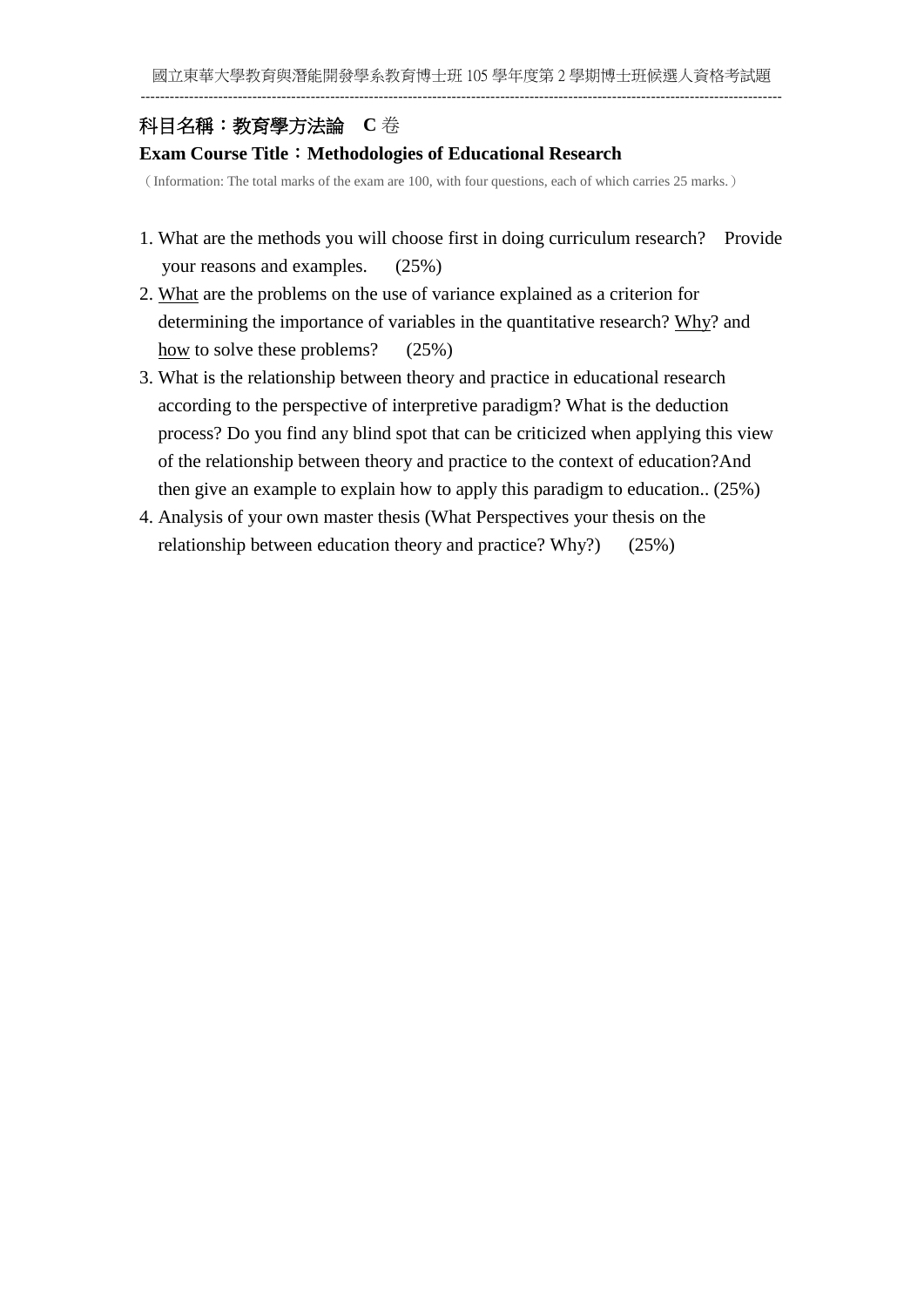# 科目名稱:教育學方法論 **C** 卷

## **Exam Course Title**:**Methodologies of Educational Research**

(Information: The total marks of the exam are 100, with four questions, each of which carries 25 marks.)

- 1. What are the methods you will choose first in doing curriculum research? Provide your reasons and examples. (25%)
- 2. What are the problems on the use of variance explained as a criterion for determining the importance of variables in the quantitative research? Why? and how to solve these problems? (25%)
- 3. What is the relationship between theory and practice in educational research according to the perspective of interpretive paradigm? What is the deduction process? Do you find any blind spot that can be criticized when applying this view of the relationship between theory and practice to the context of education?And then give an example to explain how to apply this paradigm to education.. (25%)
- 4. Analysis of your own master thesis (What Perspectives your thesis on the relationship between education theory and practice? Why?) (25%)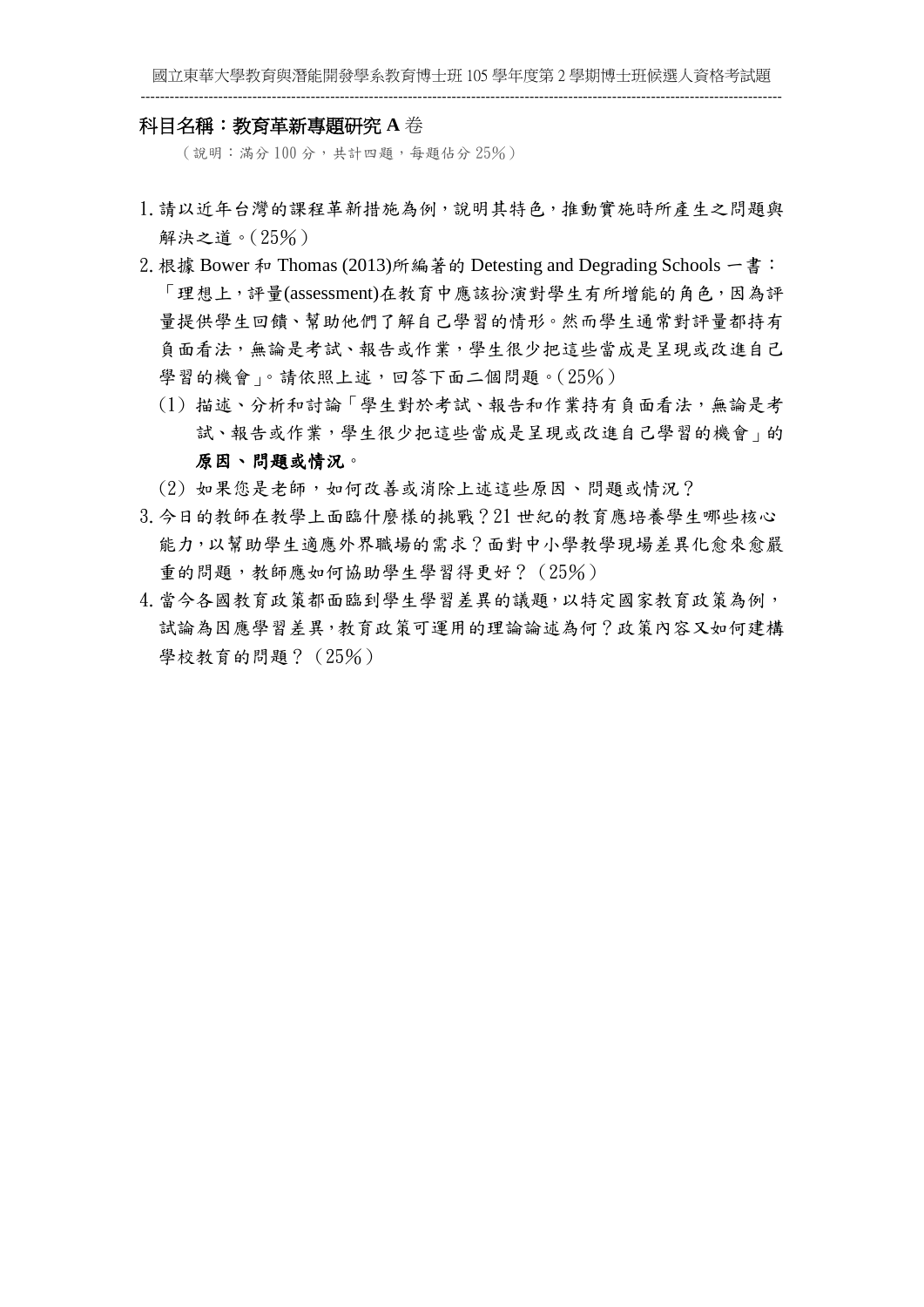### 科目名稱:教育革新專題研究 **A** 卷

(說明:滿分 100 分,共計四題,每題佔分 25%)

- 1.請以近年台灣的課程革新措施為例,說明其特色,推動實施時所產生之問題與 解決之道。(25%)
- 2. 根據 Bower 和 Thomas (2013)所編著的 Detesting and Degrading Schools 一書: 「理想上,評量(assessment)在教育中應該扮演對學生有所增能的角色,因為評 量提供學生回饋、幫助他們了解自己學習的情形。然而學生通常對評量都持有 負面看法,無論是考試、報告或作業,學生很少把這些當成是呈現或改進自己 學習的機會」。請依照上述,回答下面二個問題。(25%)
	- (1) 描述、分析和討論「學生對於考試、報告和作業持有負面看法,無論是考 試、報告或作業,學生很少把這些當成是呈現或改進自己學習的機會」的 原因、問題或情況。

- (2) 如果您是老師,如何改善或消除上述這些原因、問題或情況?
- 3.今日的教師在教學上面臨什麼樣的挑戰?21 世紀的教育應培養學生哪些核心 能力,以幫助學生適應外界職場的需求?面對中小學教學現場差異化愈來愈嚴 重的問題,教師應如何協助學生學習得更好?(25%)
- 4.當今各國教育政策都面臨到學生學習差異的議題,以特定國家教育政策為例, 試論為因應學習差異,教育政策可運用的理論論述為何?政策內容又如何建構 學校教育的問題? (25%)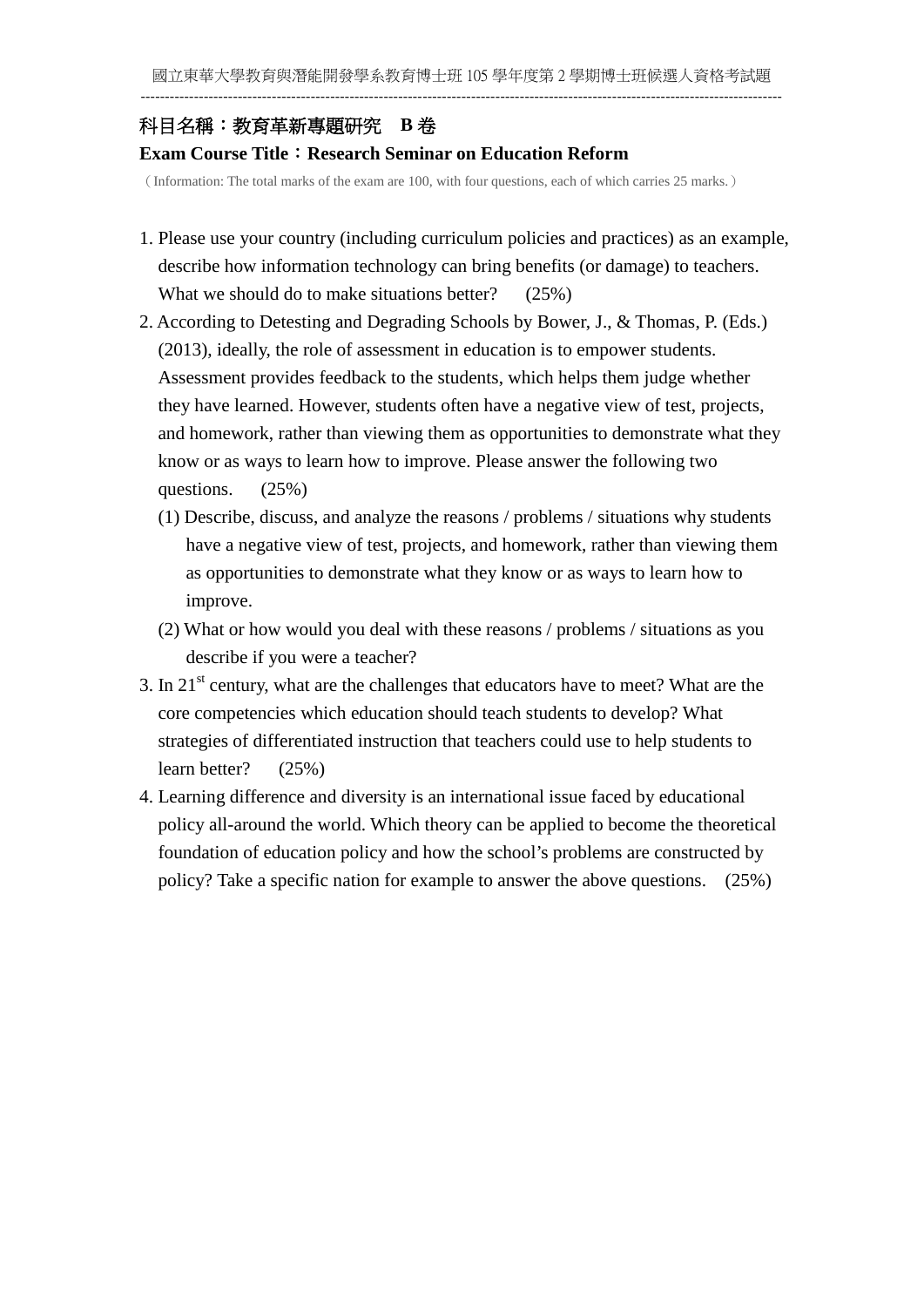# 科目名稱:教育革新專題研究 **B** 卷

## **Exam Course Title**:**Research Seminar on Education Reform**

(Information: The total marks of the exam are 100, with four questions, each of which carries 25 marks.)

- 1. Please use your country (including curriculum policies and practices) as an example, describe how information technology can bring benefits (or damage) to teachers. What we should do to make situations better? (25%)
- 2. According to Detesting and Degrading Schools by Bower, J., & Thomas, P. (Eds.) (2013), ideally, the role of assessment in education is to empower students. Assessment provides feedback to the students, which helps them judge whether they have learned. However, students often have a negative view of test, projects, and homework, rather than viewing them as opportunities to demonstrate what they know or as ways to learn how to improve. Please answer the following two questions. (25%)
	- (1) Describe, discuss, and analyze the reasons / problems / situations why students have a negative view of test, projects, and homework, rather than viewing them as opportunities to demonstrate what they know or as ways to learn how to improve.
	- (2) What or how would you deal with these reasons / problems / situations as you describe if you were a teacher?
- 3. In 21st century, what are the challenges that educators have to meet? What are the core competencies which education should teach students to develop? What strategies of differentiated instruction that teachers could use to help students to learn better? (25%)
- 4. Learning difference and diversity is an international issue faced by educational policy all-around the world. Which theory can be applied to become the theoretical foundation of education policy and how the school's problems are constructed by policy? Take a specific nation for example to answer the above questions. (25%)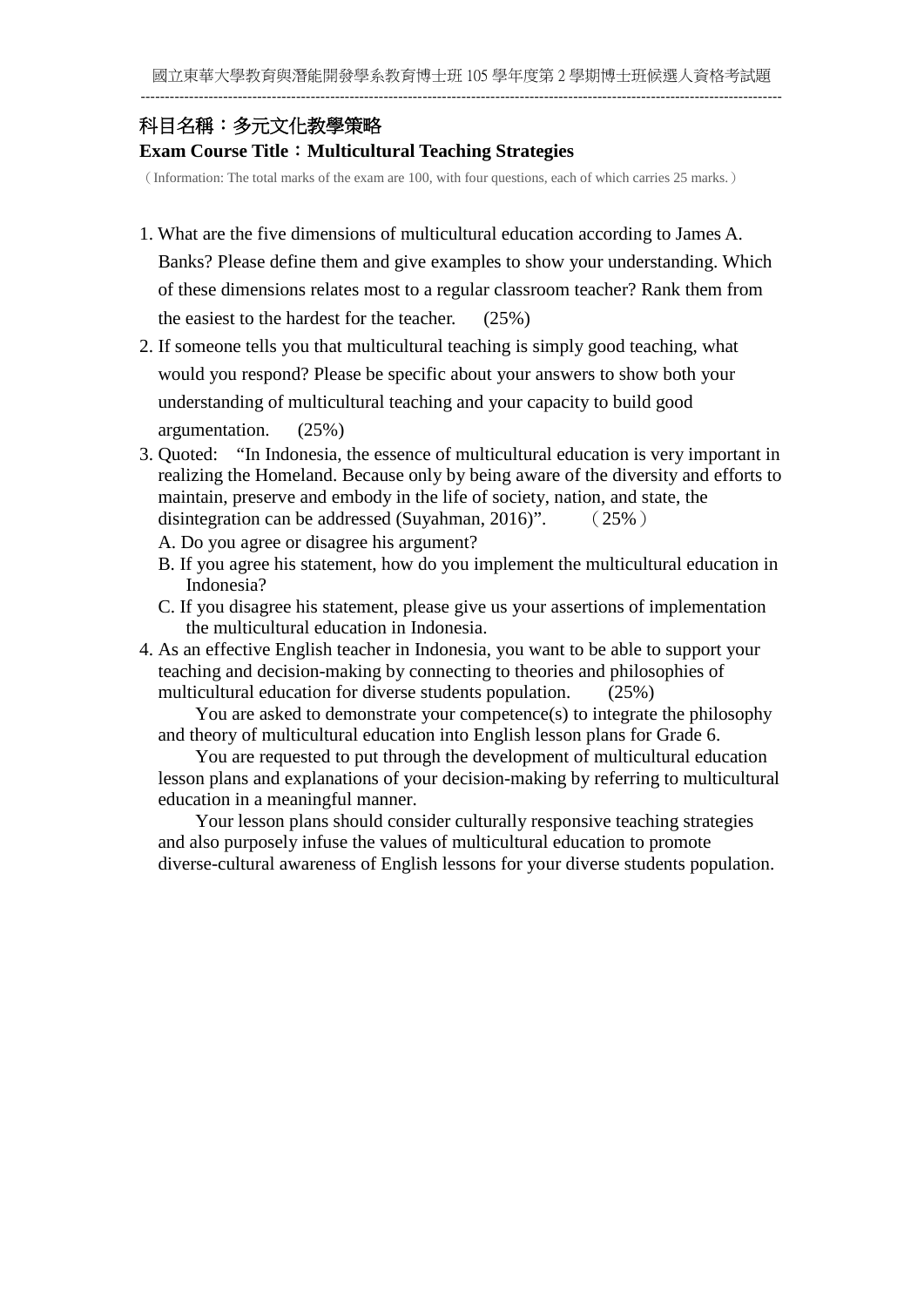## 科目名稱:多元文化教學策略

### **Exam Course Title**:**Multicultural Teaching Strategies**

(Information: The total marks of the exam are 100, with four questions, each of which carries 25 marks.)

- 1. What are the five dimensions of multicultural education according to James A. Banks? Please define them and give examples to show your understanding. Which of these dimensions relates most to a regular classroom teacher? Rank them from the easiest to the hardest for the teacher. (25%)
- 2. If someone tells you that multicultural teaching is simply good teaching, what would you respond? Please be specific about your answers to show both your understanding of multicultural teaching and your capacity to build good argumentation. (25%)
- 3. Quoted: "In Indonesia, the essence of multicultural education is very important in realizing the Homeland. Because only by being aware of the diversity and efforts to maintain, preserve and embody in the life of society, nation, and state, the disintegration can be addressed (Suyahman, 2016)". (25%)
	- A. Do you agree or disagree his argument?
	- B. If you agree his statement, how do you implement the multicultural education in Indonesia?
	- C. If you disagree his statement, please give us your assertions of implementation the multicultural education in Indonesia.
- 4. As an effective English teacher in Indonesia, you want to be able to support your teaching and decision-making by connecting to theories and philosophies of multicultural education for diverse students population. (25%)

You are asked to demonstrate your competence(s) to integrate the philosophy and theory of multicultural education into English lesson plans for Grade 6.

You are requested to put through the development of multicultural education lesson plans and explanations of your decision-making by referring to multicultural education in a meaningful manner.

Your lesson plans should consider culturally responsive teaching strategies and also purposely infuse the values of multicultural education to promote diverse-cultural awareness of English lessons for your diverse students population.